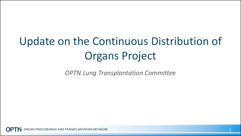# Update on the Continuous Distribution of Organs Project

*OPTN Lung Transplantation Committee*

GAN PROCUREMENT AND TRANSPLANTATION NETWORK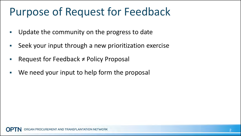## Purpose of Request for Feedback

- **Update the community on the progress to date**
- Seek your input through a new prioritization exercise
- Request for Feedback ≠ Policy Proposal
- We need your input to help form the proposal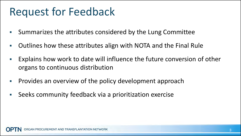## Request for Feedback

- Summarizes the attributes considered by the Lung Committee
- Outlines how these attributes align with NOTA and the Final Rule
- **Explains how work to date will influence the future conversion of other** organs to continuous distribution
- **Provides an overview of the policy development approach**
- Seeks community feedback via a prioritization exercise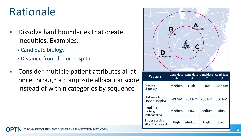## Rationale

- **-** Dissolve hard boundaries that create inequities. Examples:
	- Candidate biology
	- Distance from donor hospital
- Consider multiple patient attributes all at once through a composite allocation score instead of within categories by sequence

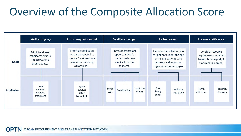## Overview of the Composite Allocation Score



ORGAN PROCUREMENT AND TRANSPLANTATION NETWORK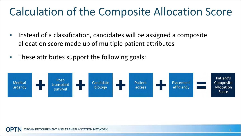## Calculation of the Composite Allocation Score

- **Instead of a classification, candidates will be assigned a composite** allocation score made up of multiple patient attributes
- **These attributes support the following goals:**

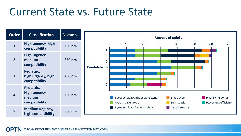#### Current State vs. Future State

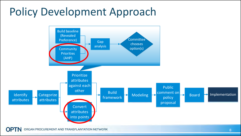## Policy Development Approach



ORGAN PROCUREMENT AND TRANSPLANTATION NETWORK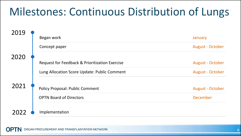## Milestones: Continuous Distribution of Lungs

| 2019 | Began work                                     | January                 |
|------|------------------------------------------------|-------------------------|
|      | Concept paper                                  | <b>August - October</b> |
| 2020 |                                                |                         |
|      | Request for Feedback & Prioritization Exercise | <b>August - October</b> |
|      | Lung Allocation Score Update: Public Comment   | <b>August - October</b> |
| 2021 | <b>Policy Proposal: Public Comment</b>         | <b>August - October</b> |
|      | <b>OPTN Board of Directors</b>                 | <b>December</b>         |
|      | Implementation                                 |                         |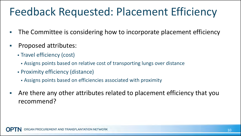## Feedback Requested: Placement Efficiency

- The Committee is considering how to incorporate placement efficiency
- Proposed attributes:
	- Travel efficiency (cost)
		- Assigns points based on relative cost of transporting lungs over distance
	- Proximity efficiency (distance)
		- Assigns points based on efficiencies associated with proximity
- Are there any other attributes related to placement efficiency that you recommend?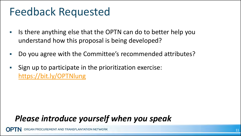### Feedback Requested

- I Is there anything else that the OPTN can do to better help you understand how this proposal is being developed?
- Do you agree with the Committee's recommended attributes?
- Sign up to participate in the prioritization exercise: <https://bit.ly/OPTNlung>

#### *Please introduce yourself when you speak*

RGAN PROCUREMENT AND TRANSPLANTATION NETWORK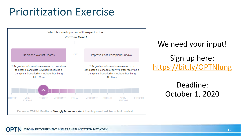## Prioritization Exercise



We need your input! Sign up here: <https://bit.ly/OPTNlung>

#### Deadline: October 1, 2020